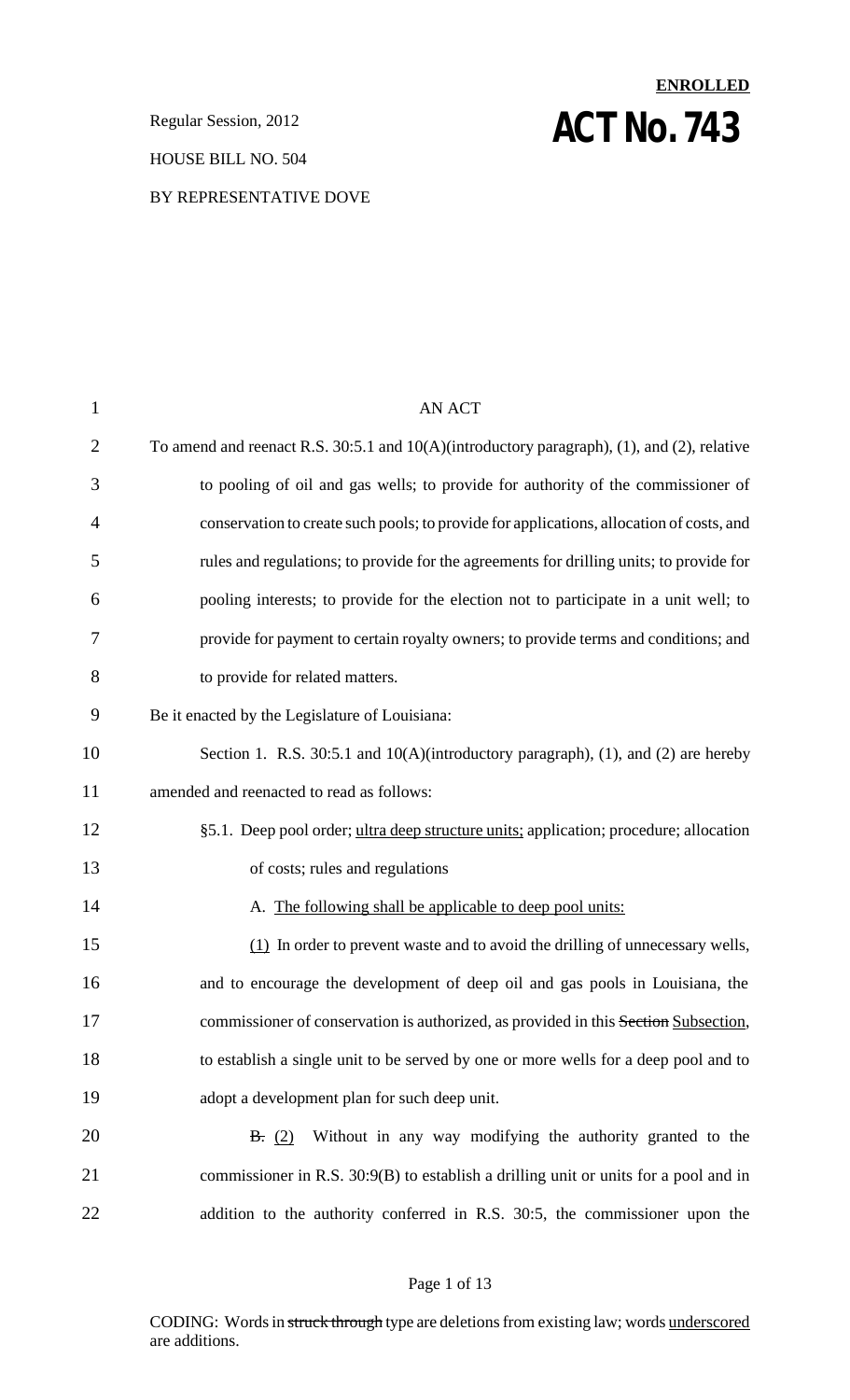**Regular Session, 2012 ACT NO. 743** 

### HOUSE BILL NO. 504

### BY REPRESENTATIVE DOVE

# 1 AN ACT 2 To amend and reenact R.S. 30:5.1 and 10(A)(introductory paragraph), (1), and (2), relative 3 to pooling of oil and gas wells; to provide for authority of the commissioner of 4 conservation to create such pools; to provide for applications, allocation of costs, and 5 rules and regulations; to provide for the agreements for drilling units; to provide for 6 pooling interests; to provide for the election not to participate in a unit well; to 7 provide for payment to certain royalty owners; to provide terms and conditions; and 8 to provide for related matters. 9 Be it enacted by the Legislature of Louisiana: 10 Section 1. R.S. 30:5.1 and 10(A)(introductory paragraph), (1), and (2) are hereby 11 amended and reenacted to read as follows: 12 §5.1. Deep pool order; ultra deep structure units; application; procedure; allocation 13 of costs; rules and regulations 14 A. The following shall be applicable to deep pool units: 15 (1) In order to prevent waste and to avoid the drilling of unnecessary wells, 16 and to encourage the development of deep oil and gas pools in Louisiana, the 17 commissioner of conservation is authorized, as provided in this Section Subsection, 18 to establish a single unit to be served by one or more wells for a deep pool and to 19 adopt a development plan for such deep unit. 20 B. (2) Without in any way modifying the authority granted to the 21 commissioner in R.S. 30:9(B) to establish a drilling unit or units for a pool and in 22 addition to the authority conferred in R.S. 30:5, the commissioner upon the

**ENROLLED**

### Page 1 of 13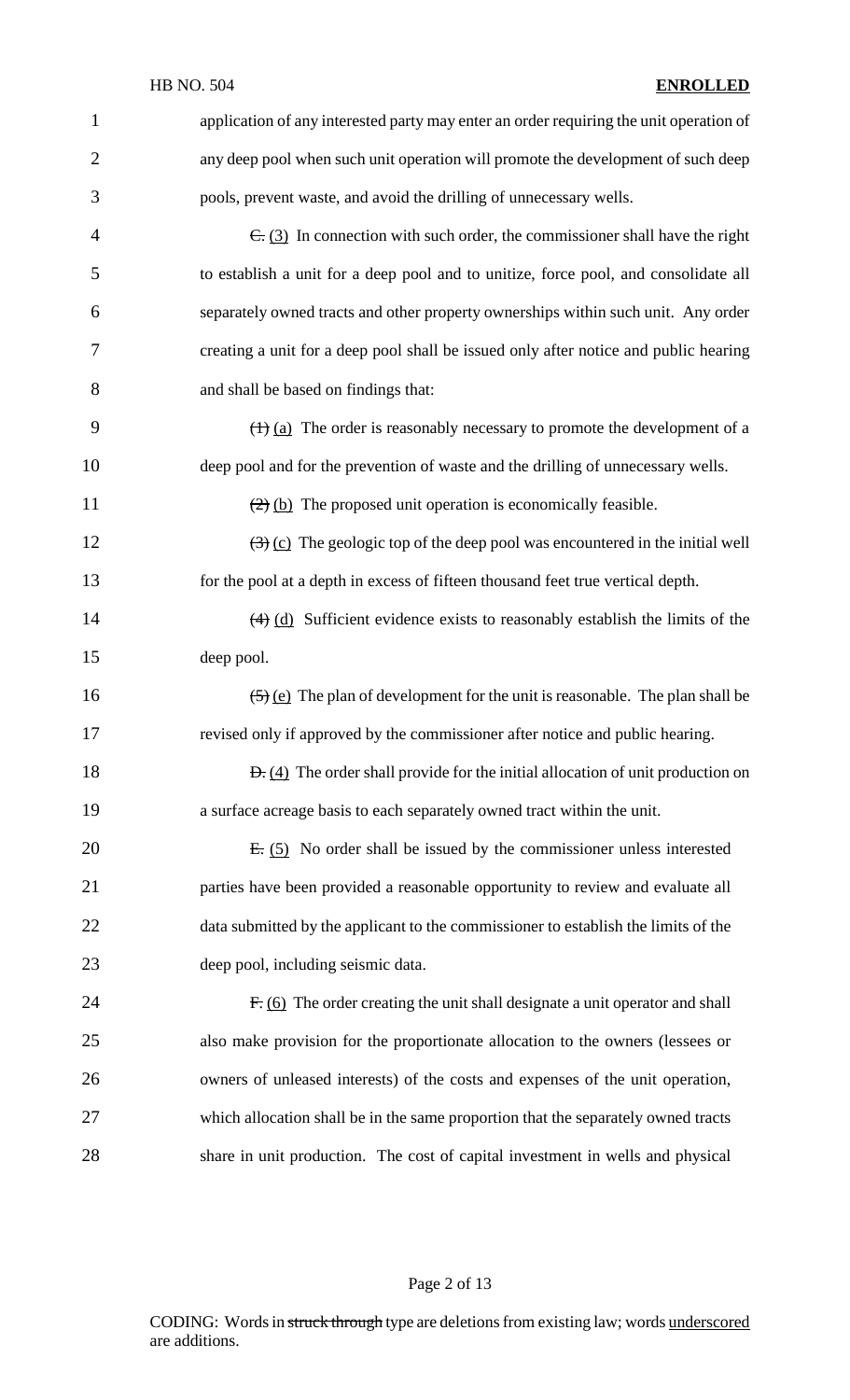| $\mathbf 1$    | application of any interested party may enter an order requiring the unit operation of               |
|----------------|------------------------------------------------------------------------------------------------------|
| $\overline{2}$ | any deep pool when such unit operation will promote the development of such deep                     |
| 3              | pools, prevent waste, and avoid the drilling of unnecessary wells.                                   |
| $\overline{4}$ | $\overline{C}$ : (3) In connection with such order, the commissioner shall have the right            |
| 5              | to establish a unit for a deep pool and to unitize, force pool, and consolidate all                  |
| 6              | separately owned tracts and other property ownerships within such unit. Any order                    |
| 7              | creating a unit for a deep pool shall be issued only after notice and public hearing                 |
| 8              | and shall be based on findings that:                                                                 |
| 9              | $\left(\frac{1}{2}\right)$ (a) The order is reasonably necessary to promote the development of a     |
| 10             | deep pool and for the prevention of waste and the drilling of unnecessary wells.                     |
| 11             | $\left(\frac{2}{2}\right)$ (b) The proposed unit operation is economically feasible.                 |
| 12             | $\left(\frac{1}{2}\right)$ (c) The geologic top of the deep pool was encountered in the initial well |
| 13             | for the pool at a depth in excess of fifteen thousand feet true vertical depth.                      |
| 14             | $\overline{(4)}$ (d) Sufficient evidence exists to reasonably establish the limits of the            |
| 15             | deep pool.                                                                                           |
| 16             | $\left(\frac{5}{2}\right)$ (e) The plan of development for the unit is reasonable. The plan shall be |
| 17             | revised only if approved by the commissioner after notice and public hearing.                        |
| 18             | $\Theta$ . (4) The order shall provide for the initial allocation of unit production on              |
| 19             | a surface acreage basis to each separately owned tract within the unit.                              |
| 20             | $E: (5)$ No order shall be issued by the commissioner unless interested                              |
| 21             | parties have been provided a reasonable opportunity to review and evaluate all                       |
| 22             | data submitted by the applicant to the commissioner to establish the limits of the                   |
| 23             | deep pool, including seismic data.                                                                   |
| 24             | $F: (6)$ The order creating the unit shall designate a unit operator and shall                       |
| 25             | also make provision for the proportionate allocation to the owners (lessees or                       |
| 26             | owners of unleased interests) of the costs and expenses of the unit operation,                       |
| 27             | which allocation shall be in the same proportion that the separately owned tracts                    |
| 28             | share in unit production. The cost of capital investment in wells and physical                       |

Page 2 of 13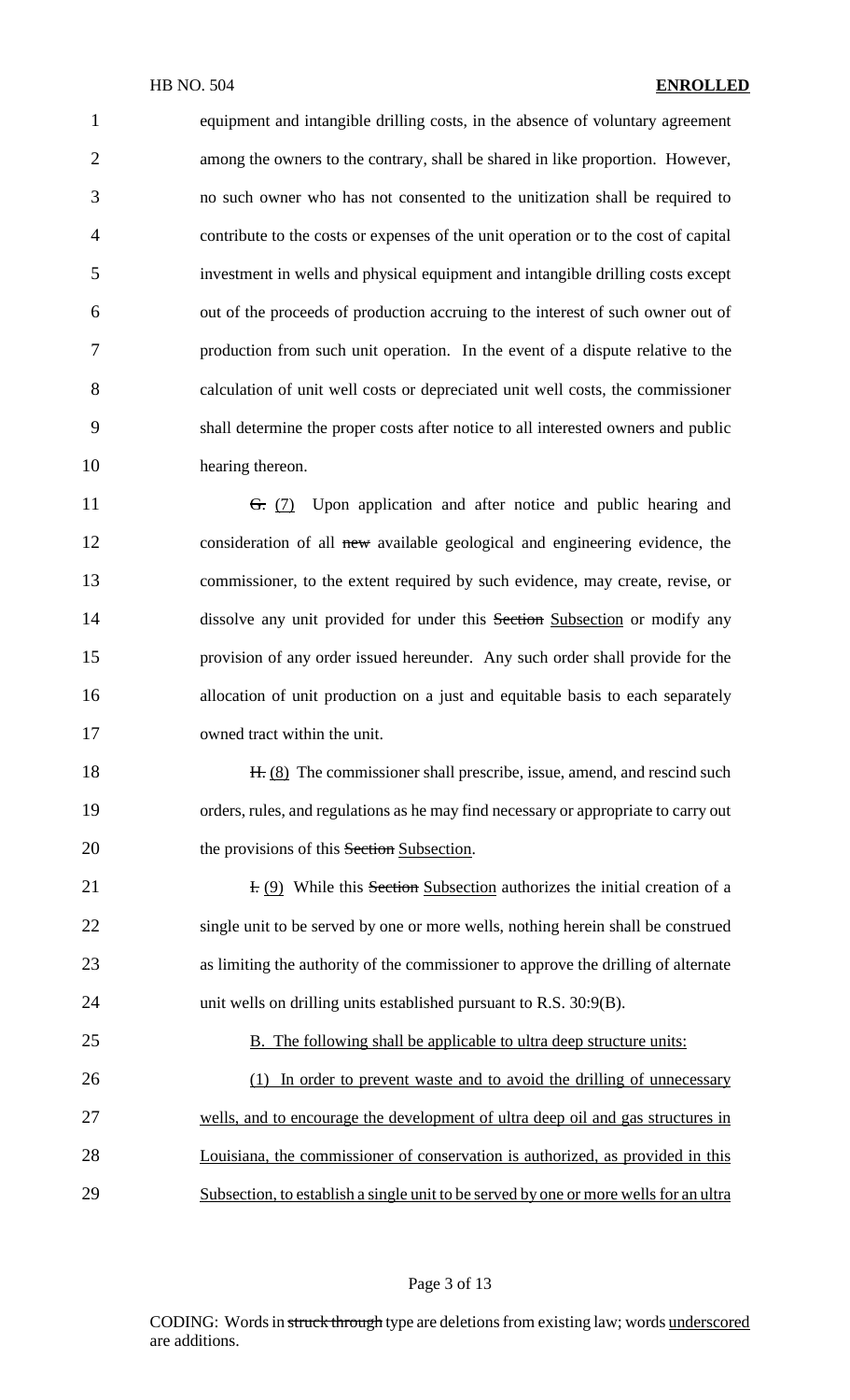equipment and intangible drilling costs, in the absence of voluntary agreement among the owners to the contrary, shall be shared in like proportion. However, no such owner who has not consented to the unitization shall be required to contribute to the costs or expenses of the unit operation or to the cost of capital investment in wells and physical equipment and intangible drilling costs except out of the proceeds of production accruing to the interest of such owner out of production from such unit operation. In the event of a dispute relative to the calculation of unit well costs or depreciated unit well costs, the commissioner shall determine the proper costs after notice to all interested owners and public hearing thereon.

11 <del>G.</del> (7) Upon application and after notice and public hearing and consideration of all new available geological and engineering evidence, the commissioner, to the extent required by such evidence, may create, revise, or 14 dissolve any unit provided for under this Section Subsection or modify any provision of any order issued hereunder. Any such order shall provide for the allocation of unit production on a just and equitable basis to each separately owned tract within the unit.

18 H. (8) The commissioner shall prescribe, issue, amend, and rescind such orders, rules, and regulations as he may find necessary or appropriate to carry out 20 the provisions of this Section Subsection.

**I. (9)** While this Section Subsection authorizes the initial creation of a single unit to be served by one or more wells, nothing herein shall be construed as limiting the authority of the commissioner to approve the drilling of alternate unit wells on drilling units established pursuant to R.S. 30:9(B).

25 B. The following shall be applicable to ultra deep structure units: (1) In order to prevent waste and to avoid the drilling of unnecessary wells, and to encourage the development of ultra deep oil and gas structures in Louisiana, the commissioner of conservation is authorized, as provided in this 29 Subsection, to establish a single unit to be served by one or more wells for an ultra

### Page 3 of 13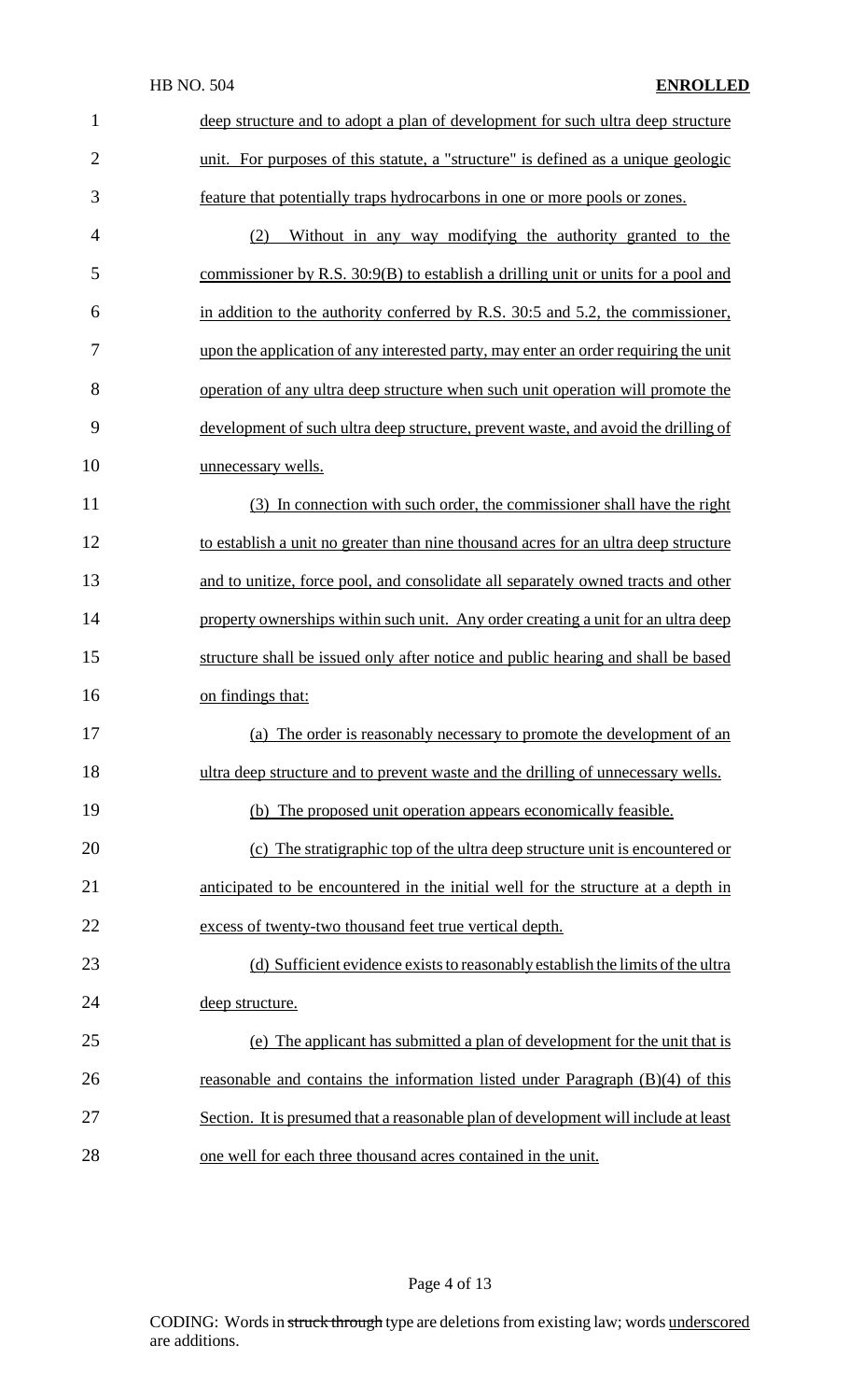| $\mathbf{1}$   | deep structure and to adopt a plan of development for such ultra deep structure     |
|----------------|-------------------------------------------------------------------------------------|
| $\overline{2}$ | unit. For purposes of this statute, a "structure" is defined as a unique geologic   |
|                |                                                                                     |
| 3              | feature that potentially traps hydrocarbons in one or more pools or zones.          |
| $\overline{4}$ | Without in any way modifying the authority granted to the<br>(2)                    |
| 5              | commissioner by R.S. 30:9(B) to establish a drilling unit or units for a pool and   |
| 6              | in addition to the authority conferred by R.S. 30:5 and 5.2, the commissioner,      |
| 7              | upon the application of any interested party, may enter an order requiring the unit |
| 8              | operation of any ultra deep structure when such unit operation will promote the     |
| 9              | development of such ultra deep structure, prevent waste, and avoid the drilling of  |
| 10             | unnecessary wells.                                                                  |
| 11             | (3) In connection with such order, the commissioner shall have the right            |
| 12             | to establish a unit no greater than nine thousand acres for an ultra deep structure |
| 13             | and to unitize, force pool, and consolidate all separately owned tracts and other   |
| 14             | property ownerships within such unit. Any order creating a unit for an ultra deep   |
| 15             | structure shall be issued only after notice and public hearing and shall be based   |
| 16             | on findings that:                                                                   |
| 17             | (a) The order is reasonably necessary to promote the development of an              |
| 18             | ultra deep structure and to prevent waste and the drilling of unnecessary wells.    |
| 19             | (b) The proposed unit operation appears economically feasible.                      |
| 20             | (c) The stratigraphic top of the ultra deep structure unit is encountered or        |
| 21             | anticipated to be encountered in the initial well for the structure at a depth in   |
| 22             | excess of twenty-two thousand feet true vertical depth.                             |
| 23             | (d) Sufficient evidence exists to reasonably establish the limits of the ultra      |
| 24             | deep structure.                                                                     |
| 25             | (e) The applicant has submitted a plan of development for the unit that is          |
| 26             | reasonable and contains the information listed under Paragraph $(B)(4)$ of this     |
| 27             | Section. It is presumed that a reasonable plan of development will include at least |
| 28             | one well for each three thousand acres contained in the unit.                       |

Page 4 of 13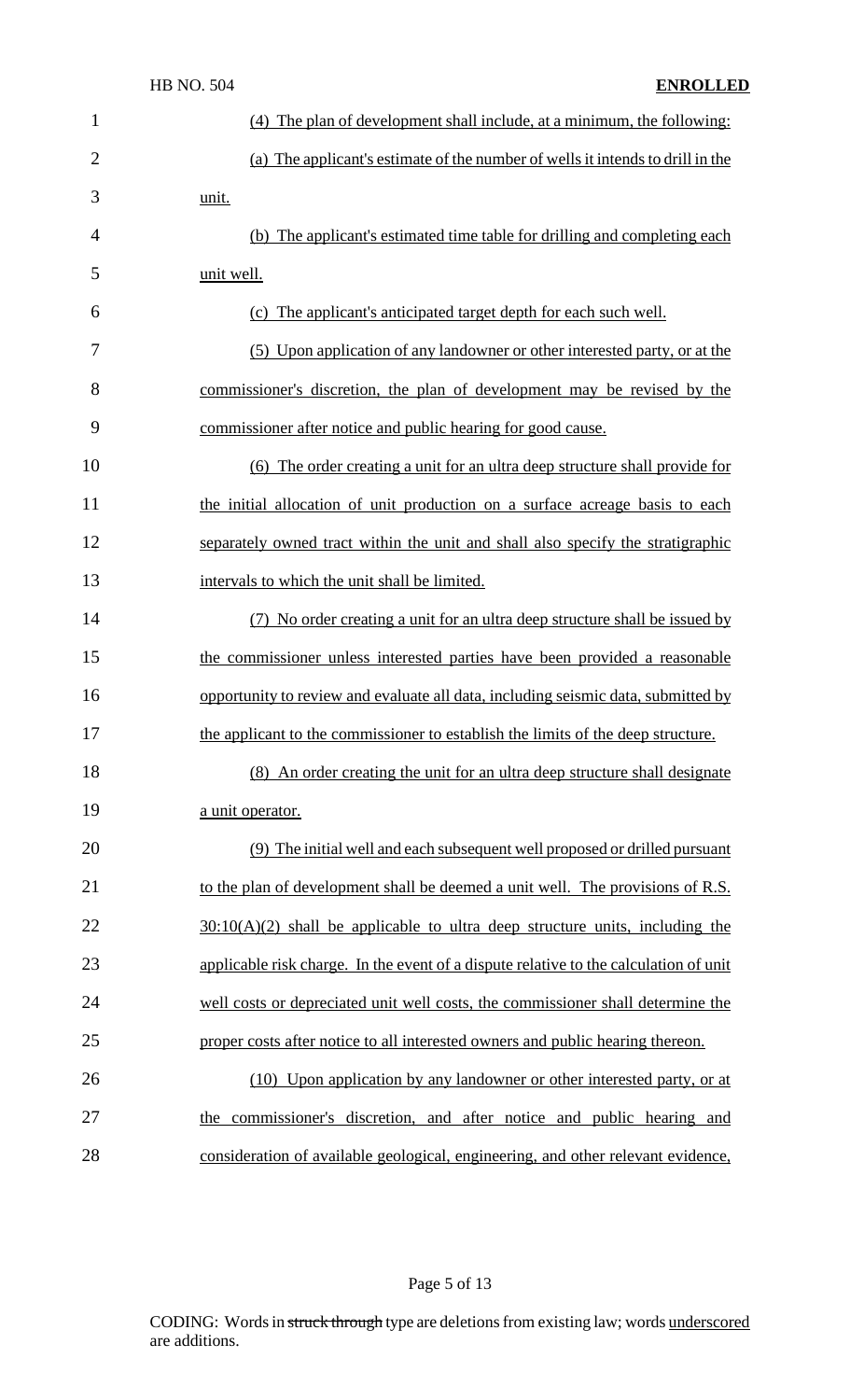|                | <b>HB NO. 504</b> | <b>ENROLLED</b>                                                                       |
|----------------|-------------------|---------------------------------------------------------------------------------------|
| $\mathbf{1}$   |                   | (4) The plan of development shall include, at a minimum, the following:               |
| $\overline{2}$ |                   | (a) The applicant's estimate of the number of wells it intends to drill in the        |
| 3              | unit.             |                                                                                       |
| $\overline{4}$ |                   | (b) The applicant's estimated time table for drilling and completing each             |
| 5              | unit well.        |                                                                                       |
| 6              |                   | (c) The applicant's anticipated target depth for each such well.                      |
| 7              |                   | (5) Upon application of any landowner or other interested party, or at the            |
| 8              |                   | commissioner's discretion, the plan of development may be revised by the              |
| 9              |                   | commissioner after notice and public hearing for good cause.                          |
| 10             |                   | (6) The order creating a unit for an ultra deep structure shall provide for           |
| 11             |                   | the initial allocation of unit production on a surface acreage basis to each          |
| 12             |                   | separately owned tract within the unit and shall also specify the stratigraphic       |
| 13             |                   | intervals to which the unit shall be limited.                                         |
| 14             |                   | (7) No order creating a unit for an ultra deep structure shall be issued by           |
| 15             |                   | the commissioner unless interested parties have been provided a reasonable            |
| 16             |                   | opportunity to review and evaluate all data, including seismic data, submitted by     |
| 17             |                   | the applicant to the commissioner to establish the limits of the deep structure.      |
| 18             |                   | (8) An order creating the unit for an ultra deep structure shall designate            |
| 19             | a unit operator.  |                                                                                       |
| 20             |                   | (9) The initial well and each subsequent well proposed or drilled pursuant            |
| 21             |                   | to the plan of development shall be deemed a unit well. The provisions of R.S.        |
| 22             |                   | $30:10(A)(2)$ shall be applicable to ultra deep structure units, including the        |
| 23             |                   | applicable risk charge. In the event of a dispute relative to the calculation of unit |
| 24             |                   | well costs or depreciated unit well costs, the commissioner shall determine the       |
| 25             |                   | proper costs after notice to all interested owners and public hearing thereon.        |
| 26             |                   | (10) Upon application by any landowner or other interested party, or at               |
| 27             |                   | the commissioner's discretion, and after notice and public hearing and                |
| 28             |                   | consideration of available geological, engineering, and other relevant evidence,      |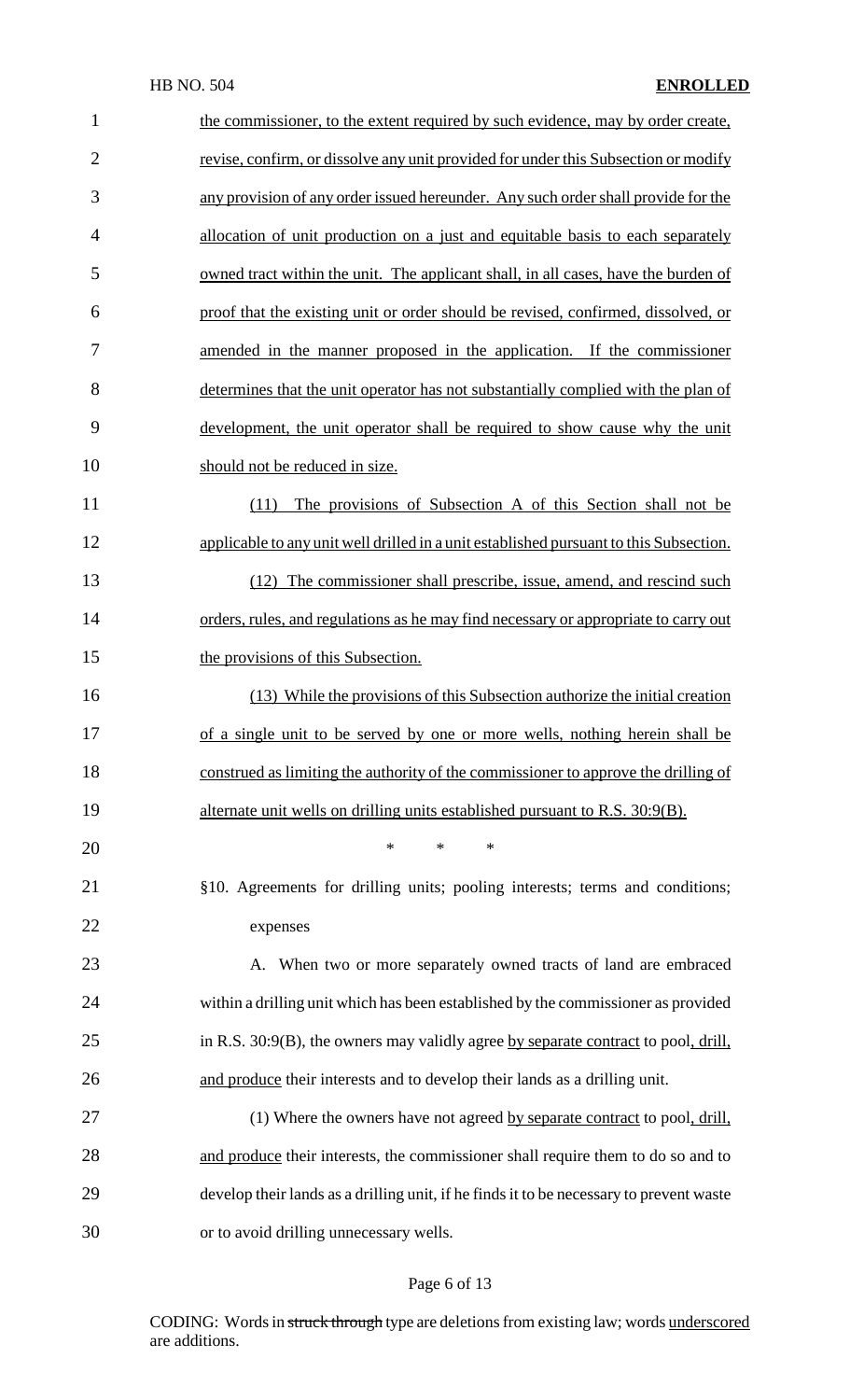| $\mathbf{1}$   | the commissioner, to the extent required by such evidence, may by order create,         |
|----------------|-----------------------------------------------------------------------------------------|
| $\overline{2}$ | revise, confirm, or dissolve any unit provided for under this Subsection or modify      |
| 3              | any provision of any order issued hereunder. Any such order shall provide for the       |
| $\overline{4}$ | allocation of unit production on a just and equitable basis to each separately          |
| 5              | owned tract within the unit. The applicant shall, in all cases, have the burden of      |
| 6              | proof that the existing unit or order should be revised, confirmed, dissolved, or       |
| 7              | amended in the manner proposed in the application. If the commissioner                  |
| 8              | determines that the unit operator has not substantially complied with the plan of       |
| 9              | development, the unit operator shall be required to show cause why the unit             |
| 10             | should not be reduced in size.                                                          |
| 11             | The provisions of Subsection A of this Section shall not be<br>(11)                     |
| 12             | applicable to any unit well drilled in a unit established pursuant to this Subsection.  |
| 13             | (12) The commissioner shall prescribe, issue, amend, and rescind such                   |
| 14             | orders, rules, and regulations as he may find necessary or appropriate to carry out     |
| 15             | the provisions of this Subsection.                                                      |
| 16             | (13) While the provisions of this Subsection authorize the initial creation             |
| 17             | of a single unit to be served by one or more wells, nothing herein shall be             |
| 18             | construed as limiting the authority of the commissioner to approve the drilling of      |
| 19             | alternate unit wells on drilling units established pursuant to R.S. 30:9(B).            |
| 20             | $\ast$<br>$\ast$<br>$\ast$                                                              |
| 21             | §10. Agreements for drilling units; pooling interests; terms and conditions;            |
| 22             | expenses                                                                                |
| 23             | When two or more separately owned tracts of land are embraced<br>A.                     |
| 24             | within a drilling unit which has been established by the commissioner as provided       |
| 25             | in R.S. 30:9(B), the owners may validly agree by separate contract to pool, drill,      |
| 26             | and produce their interests and to develop their lands as a drilling unit.              |
| 27             | (1) Where the owners have not agreed by separate contract to pool, drill,               |
| 28             | and produce their interests, the commissioner shall require them to do so and to        |
| 29             | develop their lands as a drilling unit, if he finds it to be necessary to prevent waste |
| 30             | or to avoid drilling unnecessary wells.                                                 |

# Page 6 of 13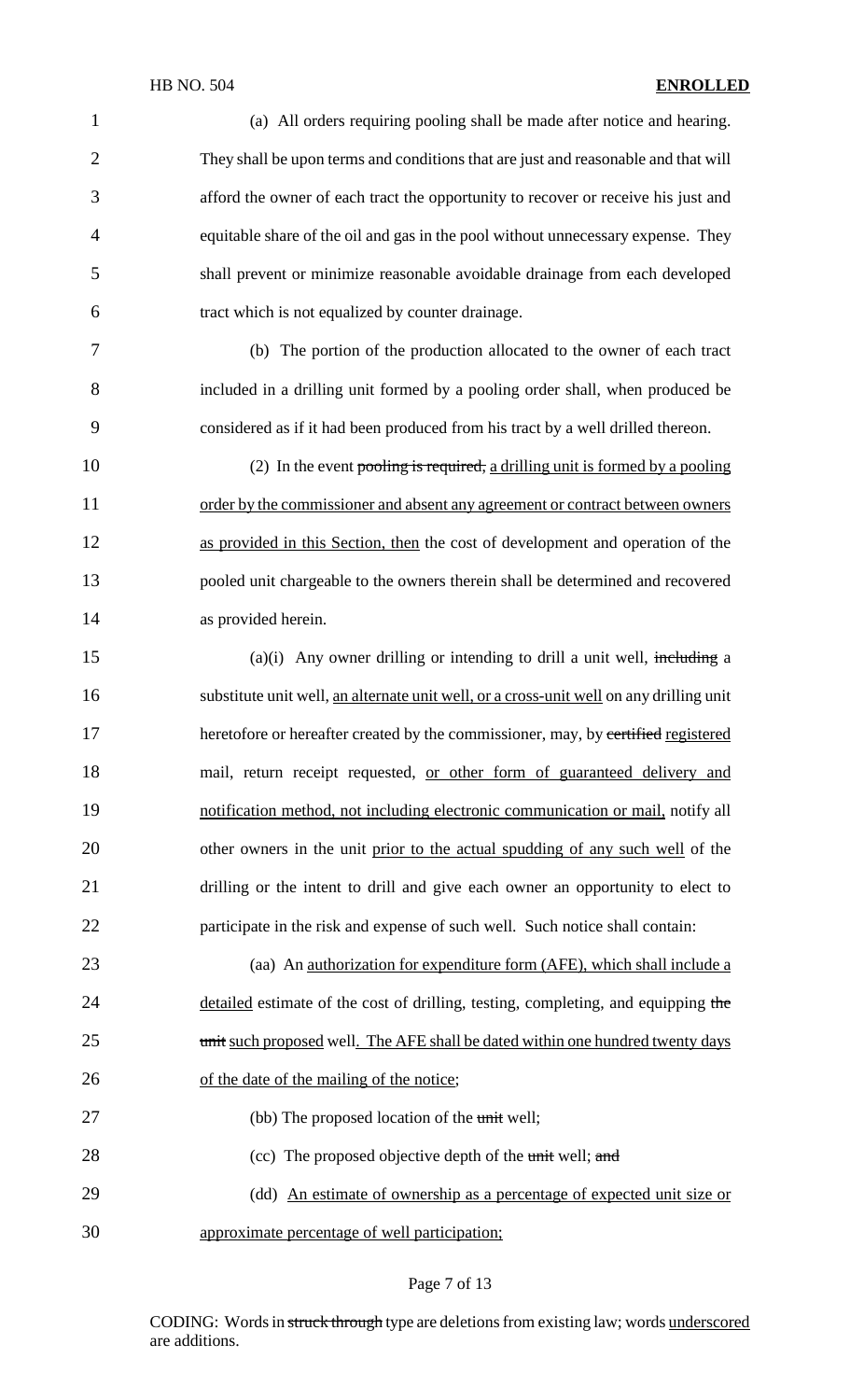1 (a) All orders requiring pooling shall be made after notice and hearing. 2 They shall be upon terms and conditions that are just and reasonable and that will 3 afford the owner of each tract the opportunity to recover or receive his just and 4 equitable share of the oil and gas in the pool without unnecessary expense. They 5 shall prevent or minimize reasonable avoidable drainage from each developed 6 tract which is not equalized by counter drainage. 7 (b) The portion of the production allocated to the owner of each tract 8 included in a drilling unit formed by a pooling order shall, when produced be 9 considered as if it had been produced from his tract by a well drilled thereon. 10 (2) In the event pooling is required, a drilling unit is formed by a pooling 11 order by the commissioner and absent any agreement or contract between owners 12 as provided in this Section, then the cost of development and operation of the 13 pooled unit chargeable to the owners therein shall be determined and recovered 14 as provided herein.  $15$  (a)(i) Any owner drilling or intending to drill a unit well, including a 16 substitute unit well, an alternate unit well, or a cross-unit well on any drilling unit 17 heretofore or hereafter created by the commissioner, may, by certified registered 18 mail, return receipt requested, or other form of guaranteed delivery and 19 notification method, not including electronic communication or mail, notify all 20 other owners in the unit prior to the actual spudding of any such well of the 21 drilling or the intent to drill and give each owner an opportunity to elect to 22 participate in the risk and expense of such well. Such notice shall contain: 23 (aa) An <u>authorization for expenditure form (AFE)</u>, which shall include a 24 detailed estimate of the cost of drilling, testing, completing, and equipping the 25 unit such proposed well. The AFE shall be dated within one hundred twenty days 26 of the date of the mailing of the notice; 27 (bb) The proposed location of the unit well; 28 (cc) The proposed objective depth of the unit well; and 29 (dd) An estimate of ownership as a percentage of expected unit size or 30 approximate percentage of well participation;

### Page 7 of 13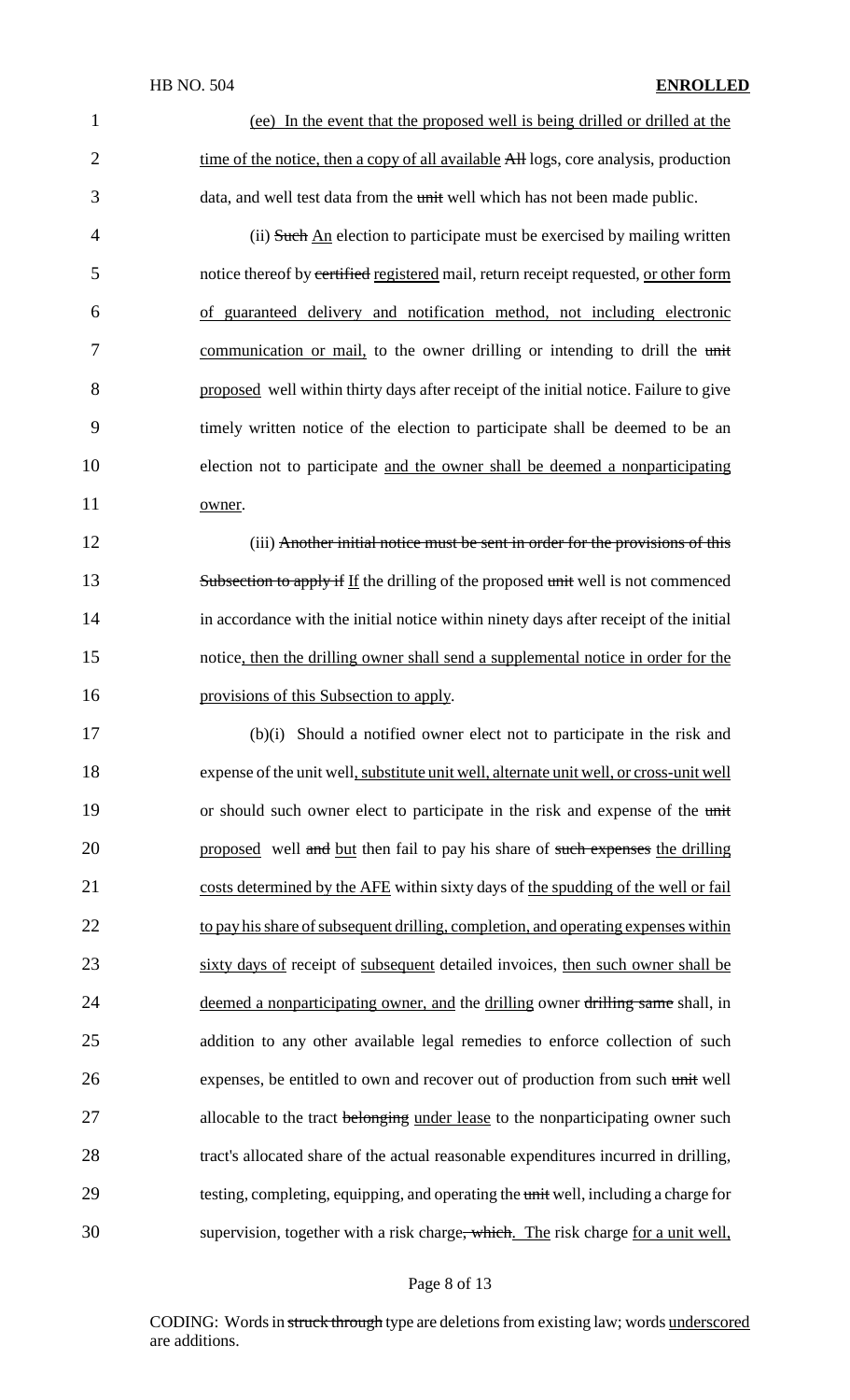1 (ee) In the event that the proposed well is being drilled or drilled at the 2 time of the notice, then a copy of all available All logs, core analysis, production 3 data, and well test data from the unit well which has not been made public.

4 (ii) Such An election to participate must be exercised by mailing written 5 notice thereof by certified registered mail, return receipt requested, or other form 6 of guaranteed delivery and notification method, not including electronic 7 communication or mail, to the owner drilling or intending to drill the unit 8 proposed well within thirty days after receipt of the initial notice. Failure to give 9 timely written notice of the election to participate shall be deemed to be an 10 election not to participate and the owner shall be deemed a nonparticipating 11 owner.

12 (iii) Another initial notice must be sent in order for the provisions of this 13 Subsection to apply if If the drilling of the proposed unit well is not commenced 14 in accordance with the initial notice within ninety days after receipt of the initial 15 notice, then the drilling owner shall send a supplemental notice in order for the 16 provisions of this Subsection to apply.

17 (b)(i) Should a notified owner elect not to participate in the risk and 18 expense of the unit well, substitute unit well, alternate unit well, or cross-unit well 19 or should such owner elect to participate in the risk and expense of the unit 20 proposed well and but then fail to pay his share of such expenses the drilling 21 costs determined by the AFE within sixty days of the spudding of the well or fail 22 to pay his share of subsequent drilling, completion, and operating expenses within 23 sixty days of receipt of subsequent detailed invoices, then such owner shall be 24 deemed a nonparticipating owner, and the drilling owner drilling same shall, in 25 addition to any other available legal remedies to enforce collection of such 26 expenses, be entitled to own and recover out of production from such unit well 27 allocable to the tract belonging under lease to the nonparticipating owner such 28 tract's allocated share of the actual reasonable expenditures incurred in drilling, 29 testing, completing, equipping, and operating the unit well, including a charge for 30 supervision, together with a risk charge<del>, which</del>. The risk charge for a unit well,

### Page 8 of 13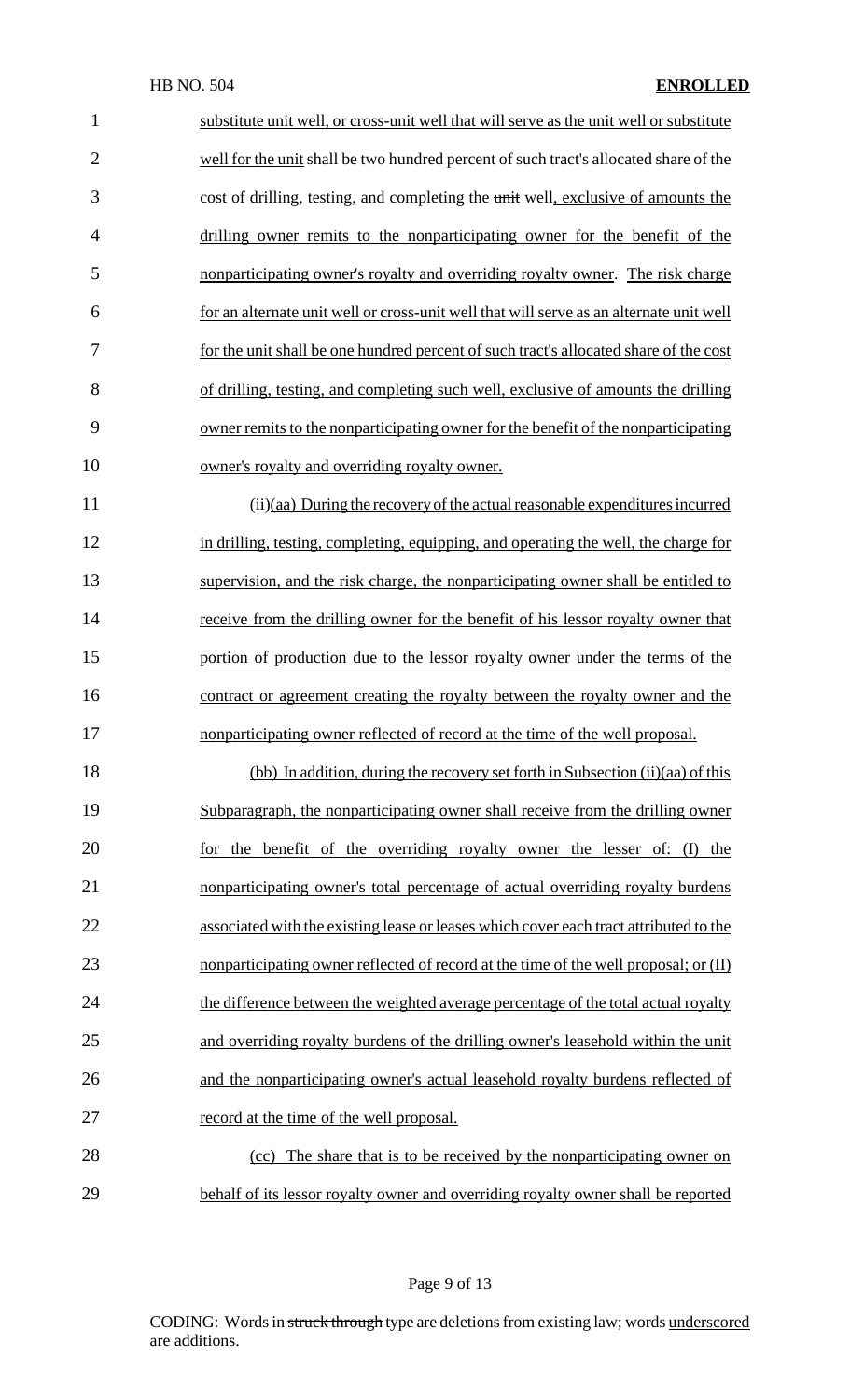| substitute unit well, or cross-unit well that will serve as the unit well or substitute |
|-----------------------------------------------------------------------------------------|
| well for the unit shall be two hundred percent of such tract's allocated share of the   |
| cost of drilling, testing, and completing the unit well, exclusive of amounts the       |
| drilling owner remits to the nonparticipating owner for the benefit of the              |
| nonparticipating owner's royalty and overriding royalty owner. The risk charge          |
| for an alternate unit well or cross-unit well that will serve as an alternate unit well |
| for the unit shall be one hundred percent of such tract's allocated share of the cost   |
| of drilling, testing, and completing such well, exclusive of amounts the drilling       |
| owner remits to the nonparticipating owner for the benefit of the nonparticipating      |
| owner's royalty and overriding royalty owner.                                           |
| $(ii)(aa)$ During the recovery of the actual reasonable expenditures incurred           |
| in drilling, testing, completing, equipping, and operating the well, the charge for     |
| supervision, and the risk charge, the nonparticipating owner shall be entitled to       |
| receive from the drilling owner for the benefit of his lessor royalty owner that        |
| portion of production due to the lessor royalty owner under the terms of the            |
| contract or agreement creating the royalty between the royalty owner and the            |
| nonparticipating owner reflected of record at the time of the well proposal.            |
| (bb) In addition, during the recovery set forth in Subsection (ii)(aa) of this          |
| Subparagraph, the nonparticipating owner shall receive from the drilling owner          |
| for the benefit of the overriding royalty owner the lesser of: (I) the                  |
| nonparticipating owner's total percentage of actual overriding royalty burdens          |
| associated with the existing lease or leases which cover each tract attributed to the   |
| nonparticipating owner reflected of record at the time of the well proposal; or (II)    |
| the difference between the weighted average percentage of the total actual royalty      |
| and overriding royalty burdens of the drilling owner's leasehold within the unit        |
| and the nonparticipating owner's actual leasehold royalty burdens reflected of          |
| record at the time of the well proposal.                                                |
| The share that is to be received by the nonparticipating owner on<br>(cc)               |
|                                                                                         |

behalf of its lessor royalty owner and overriding royalty owner shall be reported

Page 9 of 13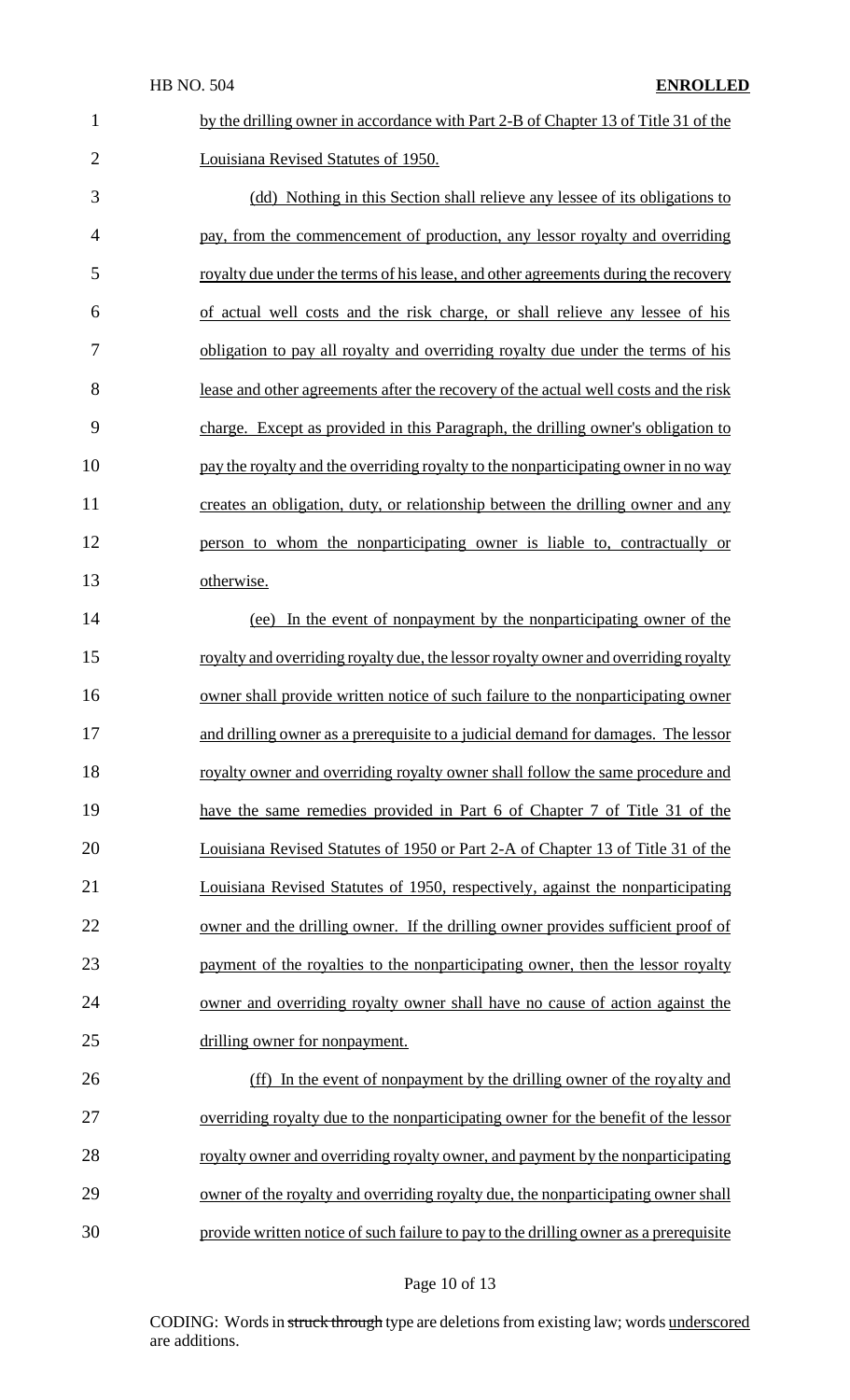| $\mathbf{1}$   | by the drilling owner in accordance with Part 2-B of Chapter 13 of Title 31 of the    |
|----------------|---------------------------------------------------------------------------------------|
| $\overline{2}$ | Louisiana Revised Statutes of 1950.                                                   |
| 3              | (dd) Nothing in this Section shall relieve any lessee of its obligations to           |
| $\overline{4}$ | pay, from the commencement of production, any lessor royalty and overriding           |
| 5              | royalty due under the terms of his lease, and other agreements during the recovery    |
| 6              | of actual well costs and the risk charge, or shall relieve any lessee of his          |
| 7              | obligation to pay all royalty and overriding royalty due under the terms of his       |
| 8              | lease and other agreements after the recovery of the actual well costs and the risk   |
| 9              | charge. Except as provided in this Paragraph, the drilling owner's obligation to      |
| 10             | pay the royalty and the overriding royalty to the nonparticipating owner in no way    |
| 11             | creates an obligation, duty, or relationship between the drilling owner and any       |
| 12             | person to whom the nonparticipating owner is liable to, contractually or              |
| 13             | otherwise.                                                                            |
| 14             | (ee) In the event of nonpayment by the nonparticipating owner of the                  |
| 15             | royalty and overriding royalty due, the lessor royalty owner and overriding royalty   |
| 16             | owner shall provide written notice of such failure to the nonparticipating owner      |
| 17             | and drilling owner as a prerequisite to a judicial demand for damages. The lessor     |
| 18             | royalty owner and overriding royalty owner shall follow the same procedure and        |
| 19             | have the same remedies provided in Part 6 of Chapter 7 of Title 31 of the             |
| 20             | Louisiana Revised Statutes of 1950 or Part 2-A of Chapter 13 of Title 31 of the       |
| 21             | Louisiana Revised Statutes of 1950, respectively, against the nonparticipating        |
| 22             | owner and the drilling owner. If the drilling owner provides sufficient proof of      |
| 23             | payment of the royalties to the nonparticipating owner, then the lessor royalty       |
| 24             | owner and overriding royalty owner shall have no cause of action against the          |
| 25             | drilling owner for nonpayment.                                                        |
| 26             | (ff) In the event of nonpayment by the drilling owner of the royalty and              |
| 27             | overriding royalty due to the nonparticipating owner for the benefit of the lessor    |
| 28             | royalty owner and overriding royalty owner, and payment by the nonparticipating       |
| 29             | owner of the royalty and overriding royalty due, the nonparticipating owner shall     |
| 30             | provide written notice of such failure to pay to the drilling owner as a prerequisite |

# Page 10 of 13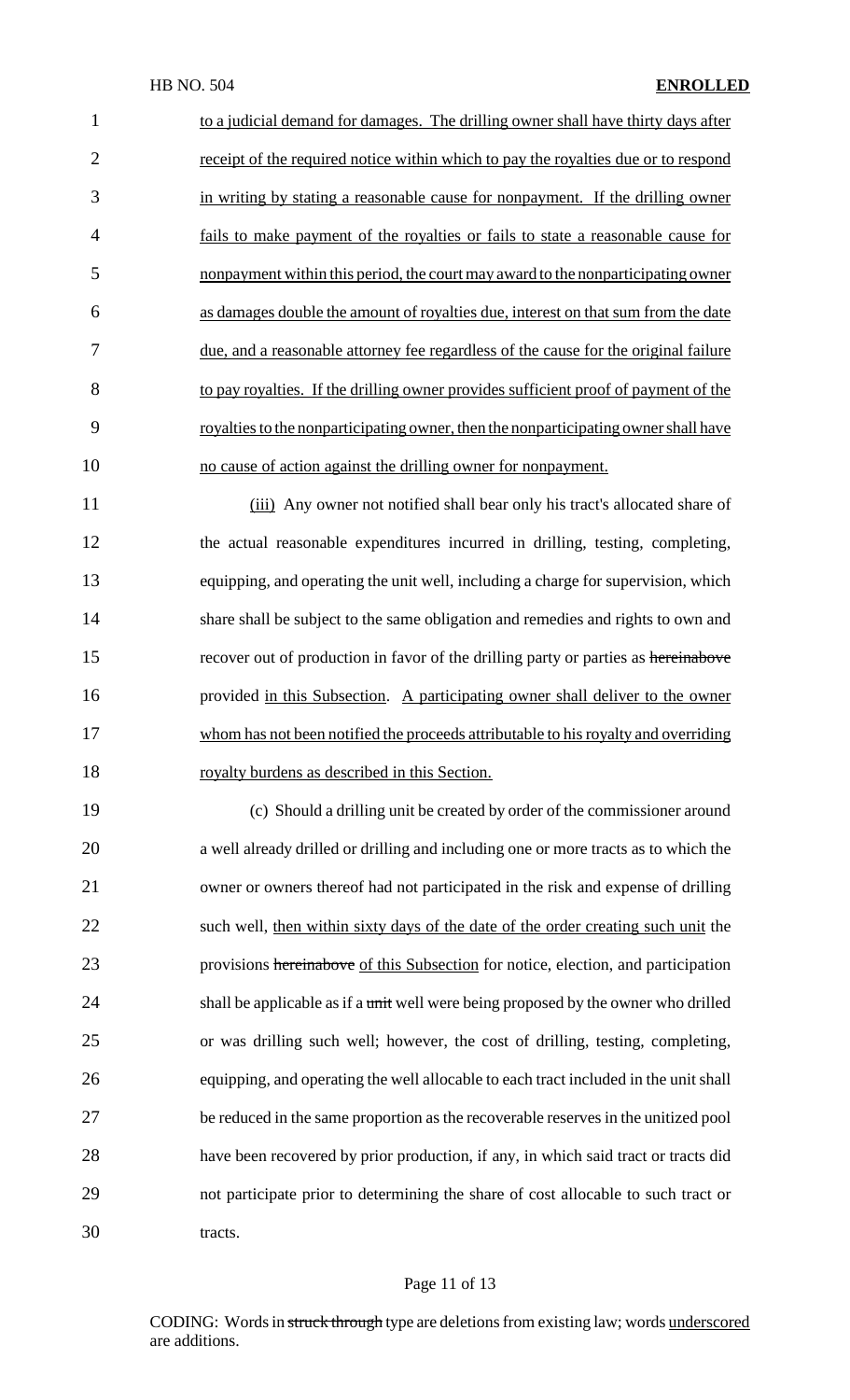| 1              | to a judicial demand for damages. The drilling owner shall have thirty days after   |
|----------------|-------------------------------------------------------------------------------------|
| $\overline{2}$ | receipt of the required notice within which to pay the royalties due or to respond  |
| 3              | in writing by stating a reasonable cause for nonpayment. If the drilling owner      |
| $\overline{4}$ | fails to make payment of the royalties or fails to state a reasonable cause for     |
| 5              | nonpayment within this period, the court may award to the nonparticipating owner    |
| 6              | as damages double the amount of royalties due, interest on that sum from the date   |
| 7              | due, and a reasonable attorney fee regardless of the cause for the original failure |
| 8              | to pay royalties. If the drilling owner provides sufficient proof of payment of the |
| 9              | royalties to the nonparticipating owner, then the nonparticipating owner shall have |
| 10             | no cause of action against the drilling owner for nonpayment.                       |
|                |                                                                                     |

 (iii) Any owner not notified shall bear only his tract's allocated share of the actual reasonable expenditures incurred in drilling, testing, completing, equipping, and operating the unit well, including a charge for supervision, which share shall be subject to the same obligation and remedies and rights to own and 15 recover out of production in favor of the drilling party or parties as hereinabove provided in this Subsection. A participating owner shall deliver to the owner whom has not been notified the proceeds attributable to hisroyalty and overriding 18 royalty burdens as described in this Section.

 (c) Should a drilling unit be created by order of the commissioner around a well already drilled or drilling and including one or more tracts as to which the owner or owners thereof had not participated in the risk and expense of drilling 22 such well, then within sixty days of the date of the order creating such unit the 23 provisions hereinabove of this Subsection for notice, election, and participation 24 shall be applicable as if a unit well were being proposed by the owner who drilled or was drilling such well; however, the cost of drilling, testing, completing, equipping, and operating the well allocable to each tract included in the unit shall be reduced in the same proportion as the recoverable reservesin the unitized pool have been recovered by prior production, if any, in which said tract or tracts did not participate prior to determining the share of cost allocable to such tract or tracts.

#### Page 11 of 13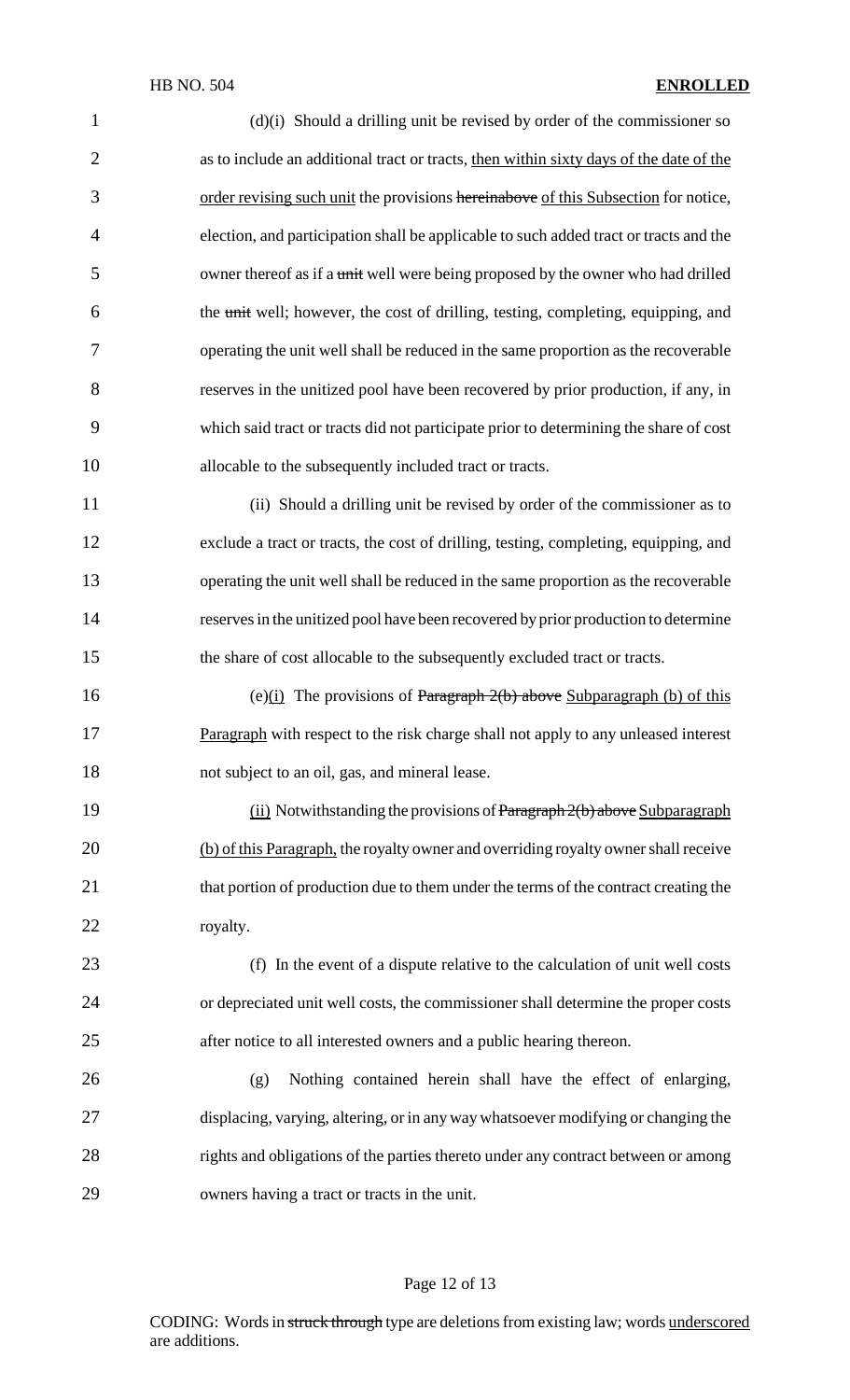### HB NO. 504 **ENROLLED**

| $\mathbf{1}$   | $(d)(i)$ Should a drilling unit be revised by order of the commissioner so             |
|----------------|----------------------------------------------------------------------------------------|
| $\overline{2}$ | as to include an additional tract or tracts, then within sixty days of the date of the |
| 3              | order revising such unit the provisions hereinabove of this Subsection for notice,     |
| $\overline{4}$ | election, and participation shall be applicable to such added tract or tracts and the  |
| 5              | owner thereof as if a unit well were being proposed by the owner who had drilled       |
| 6              | the unit well; however, the cost of drilling, testing, completing, equipping, and      |
| 7              | operating the unit well shall be reduced in the same proportion as the recoverable     |
| 8              | reserves in the unitized pool have been recovered by prior production, if any, in      |
| 9              | which said tract or tracts did not participate prior to determining the share of cost  |
| 10             | allocable to the subsequently included tract or tracts.                                |
| 11             | (ii) Should a drilling unit be revised by order of the commissioner as to              |
| 12             | exclude a tract or tracts, the cost of drilling, testing, completing, equipping, and   |
| 13             | operating the unit well shall be reduced in the same proportion as the recoverable     |
| 14             | reserves in the unitized pool have been recovered by prior production to determine     |
| 15             | the share of cost allocable to the subsequently excluded tract or tracts.              |
| 16             | (e) $(i)$ The provisions of Paragraph 2(b) above Subparagraph (b) of this              |
| 17             | Paragraph with respect to the risk charge shall not apply to any unleased interest     |
| 18             | not subject to an oil, gas, and mineral lease.                                         |
| 19             | $(i)$ Notwithstanding the provisions of Paragraph $2(b)$ above Subparagraph            |
| 20             | (b) of this Paragraph, the royalty owner and overriding royalty owner shall receive    |
| 21             | that portion of production due to them under the terms of the contract creating the    |
| 22             | royalty.                                                                               |
| 23             | (f) In the event of a dispute relative to the calculation of unit well costs           |
| 24             | or depreciated unit well costs, the commissioner shall determine the proper costs      |
| 25             | after notice to all interested owners and a public hearing thereon.                    |
| 26             | Nothing contained herein shall have the effect of enlarging,<br>(g)                    |
| 27             | displacing, varying, altering, or in any way whatsoever modifying or changing the      |
| 28             | rights and obligations of the parties thereto under any contract between or among      |
| 29             | owners having a tract or tracts in the unit.                                           |
|                |                                                                                        |

# Page 12 of 13